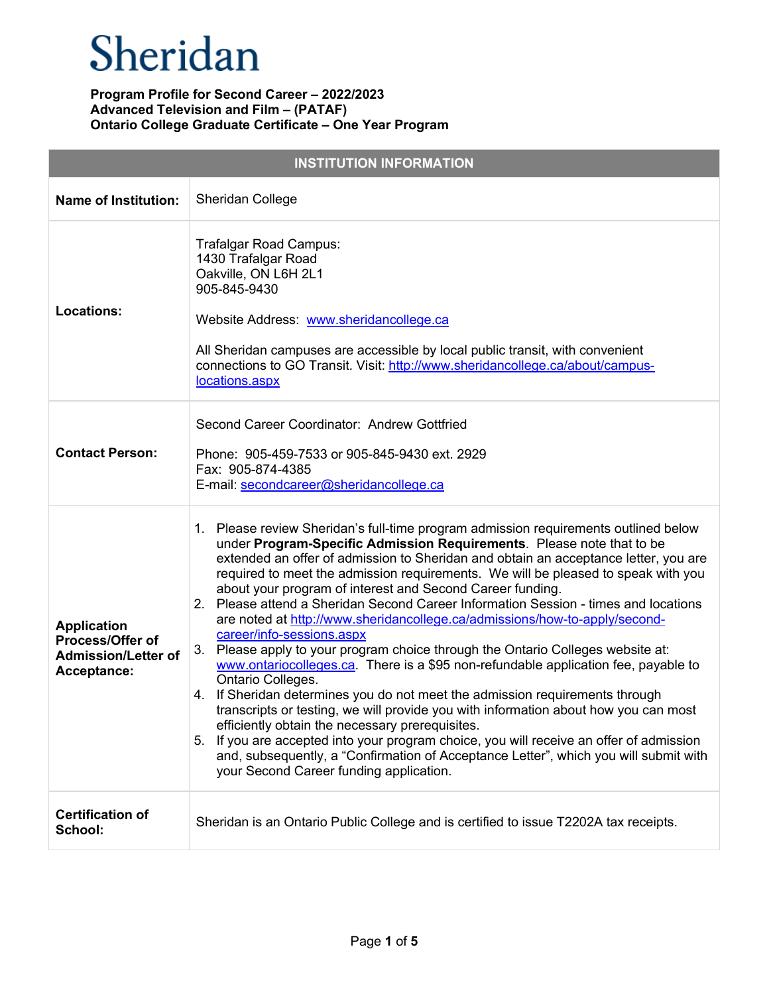| <b>INSTITUTION INFORMATION</b>                                                      |                                                                                                                                                                                                                                                                                                                                                                                                                                                                                                                                                                                                                                                                                                                                                                                                                                                                                                                                                                                                                                                                                                                                                                                                                                                               |  |
|-------------------------------------------------------------------------------------|---------------------------------------------------------------------------------------------------------------------------------------------------------------------------------------------------------------------------------------------------------------------------------------------------------------------------------------------------------------------------------------------------------------------------------------------------------------------------------------------------------------------------------------------------------------------------------------------------------------------------------------------------------------------------------------------------------------------------------------------------------------------------------------------------------------------------------------------------------------------------------------------------------------------------------------------------------------------------------------------------------------------------------------------------------------------------------------------------------------------------------------------------------------------------------------------------------------------------------------------------------------|--|
| <b>Name of Institution:</b>                                                         | <b>Sheridan College</b>                                                                                                                                                                                                                                                                                                                                                                                                                                                                                                                                                                                                                                                                                                                                                                                                                                                                                                                                                                                                                                                                                                                                                                                                                                       |  |
| <b>Locations:</b>                                                                   | Trafalgar Road Campus:<br>1430 Trafalgar Road<br>Oakville, ON L6H 2L1<br>905-845-9430<br>Website Address: www.sheridancollege.ca<br>All Sheridan campuses are accessible by local public transit, with convenient<br>connections to GO Transit. Visit: http://www.sheridancollege.ca/about/campus-<br>locations.aspx                                                                                                                                                                                                                                                                                                                                                                                                                                                                                                                                                                                                                                                                                                                                                                                                                                                                                                                                          |  |
| <b>Contact Person:</b>                                                              | Second Career Coordinator: Andrew Gottfried<br>Phone: 905-459-7533 or 905-845-9430 ext. 2929<br>Fax: 905-874-4385<br>E-mail: secondcareer@sheridancollege.ca                                                                                                                                                                                                                                                                                                                                                                                                                                                                                                                                                                                                                                                                                                                                                                                                                                                                                                                                                                                                                                                                                                  |  |
| <b>Application</b><br>Process/Offer of<br><b>Admission/Letter of</b><br>Acceptance: | 1. Please review Sheridan's full-time program admission requirements outlined below<br>under Program-Specific Admission Requirements. Please note that to be<br>extended an offer of admission to Sheridan and obtain an acceptance letter, you are<br>required to meet the admission requirements. We will be pleased to speak with you<br>about your program of interest and Second Career funding.<br>2. Please attend a Sheridan Second Career Information Session - times and locations<br>are noted at http://www.sheridancollege.ca/admissions/how-to-apply/second-<br>career/info-sessions.aspx<br>3. Please apply to your program choice through the Ontario Colleges website at:<br>www.ontariocolleges.ca. There is a \$95 non-refundable application fee, payable to<br>Ontario Colleges.<br>4. If Sheridan determines you do not meet the admission requirements through<br>transcripts or testing, we will provide you with information about how you can most<br>efficiently obtain the necessary prerequisites.<br>5. If you are accepted into your program choice, you will receive an offer of admission<br>and, subsequently, a "Confirmation of Acceptance Letter", which you will submit with<br>your Second Career funding application. |  |
| <b>Certification of</b><br>School:                                                  | Sheridan is an Ontario Public College and is certified to issue T2202A tax receipts.                                                                                                                                                                                                                                                                                                                                                                                                                                                                                                                                                                                                                                                                                                                                                                                                                                                                                                                                                                                                                                                                                                                                                                          |  |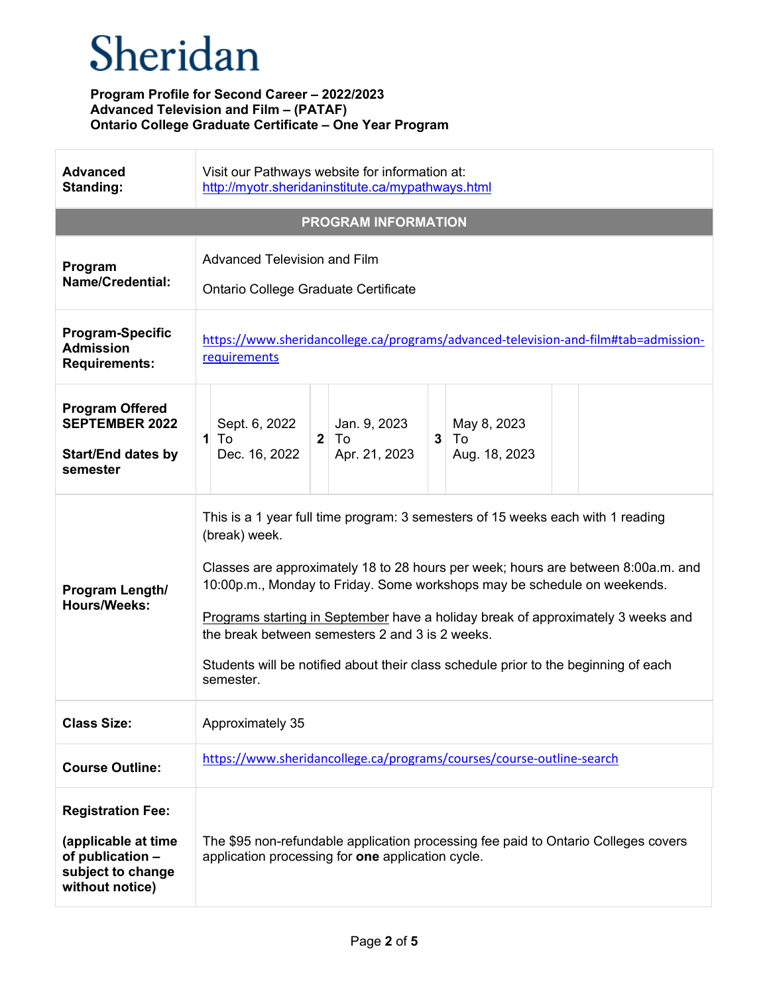| <b>Advanced</b><br>Standing:                                                                                | Visit our Pathways website for information at:<br>http://myotr.sheridaninstitute.ca/mypathways.html                                                                                                                                                                                                                                                                                                                                                                                                          |
|-------------------------------------------------------------------------------------------------------------|--------------------------------------------------------------------------------------------------------------------------------------------------------------------------------------------------------------------------------------------------------------------------------------------------------------------------------------------------------------------------------------------------------------------------------------------------------------------------------------------------------------|
|                                                                                                             | <b>PROGRAM INFORMATION</b>                                                                                                                                                                                                                                                                                                                                                                                                                                                                                   |
| Program<br>Name/Credential:                                                                                 | <b>Advanced Television and Film</b><br>Ontario College Graduate Certificate                                                                                                                                                                                                                                                                                                                                                                                                                                  |
| <b>Program-Specific</b><br><b>Admission</b><br><b>Requirements:</b>                                         | https://www.sheridancollege.ca/programs/advanced-television-and-film#tab=admission-<br>requirements                                                                                                                                                                                                                                                                                                                                                                                                          |
| <b>Program Offered</b><br><b>SEPTEMBER 2022</b><br><b>Start/End dates by</b><br>semester                    | Sept. 6, 2022<br>Jan. 9, 2023<br>May 8, 2023<br>$1$ To<br>To<br>3 <sup>1</sup><br>$\mathbf{2}$<br>To<br>Dec. 16, 2022<br>Apr. 21, 2023<br>Aug. 18, 2023                                                                                                                                                                                                                                                                                                                                                      |
| Program Length/<br><b>Hours/Weeks:</b>                                                                      | This is a 1 year full time program: 3 semesters of 15 weeks each with 1 reading<br>(break) week.<br>Classes are approximately 18 to 28 hours per week; hours are between 8:00a.m. and<br>10:00p.m., Monday to Friday. Some workshops may be schedule on weekends.<br>Programs starting in September have a holiday break of approximately 3 weeks and<br>the break between semesters 2 and 3 is 2 weeks.<br>Students will be notified about their class schedule prior to the beginning of each<br>semester. |
| <b>Class Size:</b>                                                                                          | Approximately 35                                                                                                                                                                                                                                                                                                                                                                                                                                                                                             |
| <b>Course Outline:</b>                                                                                      | https://www.sheridancollege.ca/programs/courses/course-outline-search                                                                                                                                                                                                                                                                                                                                                                                                                                        |
| <b>Registration Fee:</b><br>(applicable at time<br>of publication -<br>subject to change<br>without notice) | The \$95 non-refundable application processing fee paid to Ontario Colleges covers<br>application processing for one application cycle.                                                                                                                                                                                                                                                                                                                                                                      |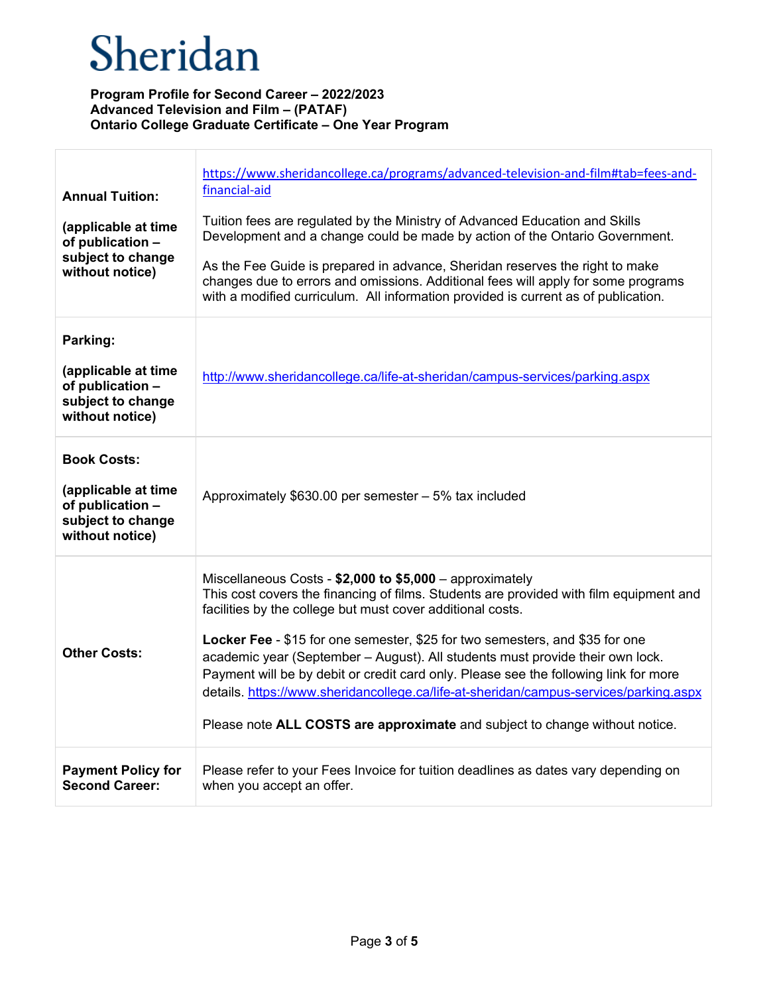| <b>Annual Tuition:</b><br>(applicable at time<br>of publication -<br>subject to change<br>without notice) | https://www.sheridancollege.ca/programs/advanced-television-and-film#tab=fees-and-<br>financial-aid<br>Tuition fees are regulated by the Ministry of Advanced Education and Skills<br>Development and a change could be made by action of the Ontario Government.<br>As the Fee Guide is prepared in advance, Sheridan reserves the right to make<br>changes due to errors and omissions. Additional fees will apply for some programs<br>with a modified curriculum. All information provided is current as of publication.                                                                                                                      |
|-----------------------------------------------------------------------------------------------------------|---------------------------------------------------------------------------------------------------------------------------------------------------------------------------------------------------------------------------------------------------------------------------------------------------------------------------------------------------------------------------------------------------------------------------------------------------------------------------------------------------------------------------------------------------------------------------------------------------------------------------------------------------|
| Parking:<br>(applicable at time<br>of publication -<br>subject to change<br>without notice)               | http://www.sheridancollege.ca/life-at-sheridan/campus-services/parking.aspx                                                                                                                                                                                                                                                                                                                                                                                                                                                                                                                                                                       |
| <b>Book Costs:</b><br>(applicable at time<br>of publication -<br>subject to change<br>without notice)     | Approximately \$630.00 per semester - 5% tax included                                                                                                                                                                                                                                                                                                                                                                                                                                                                                                                                                                                             |
| <b>Other Costs:</b>                                                                                       | Miscellaneous Costs - \$2,000 to \$5,000 - approximately<br>This cost covers the financing of films. Students are provided with film equipment and<br>facilities by the college but must cover additional costs.<br>Locker Fee - \$15 for one semester, \$25 for two semesters, and \$35 for one<br>academic year (September - August). All students must provide their own lock.<br>Payment will be by debit or credit card only. Please see the following link for more<br>details. https://www.sheridancollege.ca/life-at-sheridan/campus-services/parking.aspx<br>Please note ALL COSTS are approximate and subject to change without notice. |
| <b>Payment Policy for</b><br><b>Second Career:</b>                                                        | Please refer to your Fees Invoice for tuition deadlines as dates vary depending on<br>when you accept an offer.                                                                                                                                                                                                                                                                                                                                                                                                                                                                                                                                   |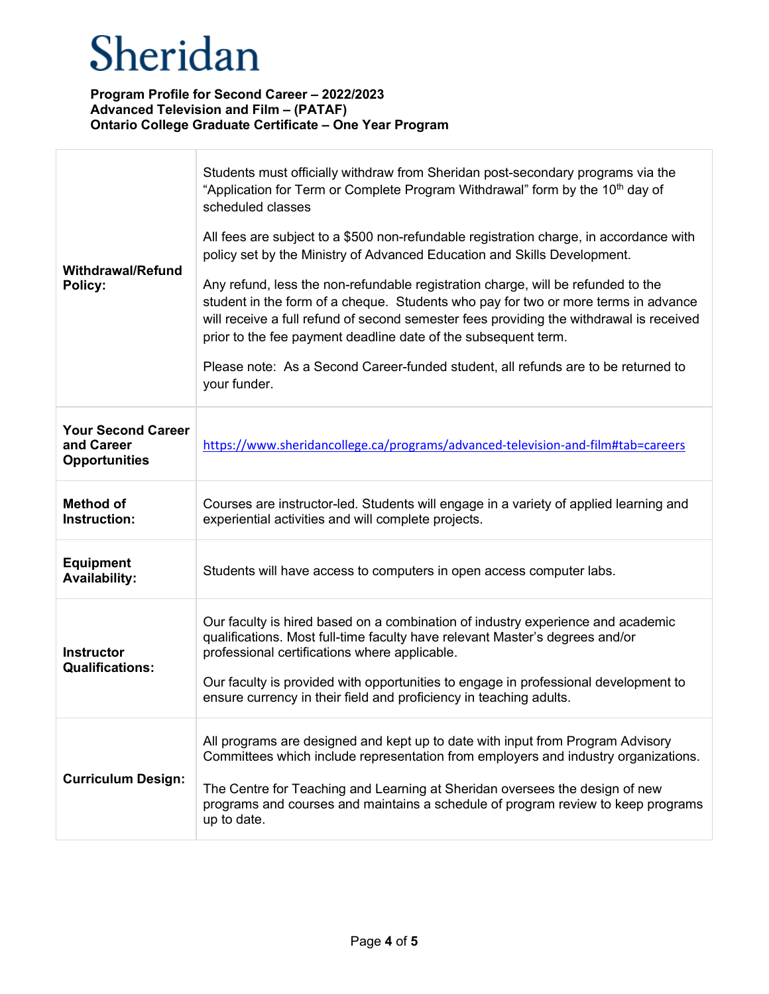| <b>Withdrawal/Refund</b><br>Policy:                             | Students must officially withdraw from Sheridan post-secondary programs via the<br>"Application for Term or Complete Program Withdrawal" form by the 10 <sup>th</sup> day of<br>scheduled classes<br>All fees are subject to a \$500 non-refundable registration charge, in accordance with<br>policy set by the Ministry of Advanced Education and Skills Development.<br>Any refund, less the non-refundable registration charge, will be refunded to the<br>student in the form of a cheque. Students who pay for two or more terms in advance<br>will receive a full refund of second semester fees providing the withdrawal is received<br>prior to the fee payment deadline date of the subsequent term.<br>Please note: As a Second Career-funded student, all refunds are to be returned to<br>your funder. |
|-----------------------------------------------------------------|---------------------------------------------------------------------------------------------------------------------------------------------------------------------------------------------------------------------------------------------------------------------------------------------------------------------------------------------------------------------------------------------------------------------------------------------------------------------------------------------------------------------------------------------------------------------------------------------------------------------------------------------------------------------------------------------------------------------------------------------------------------------------------------------------------------------|
| <b>Your Second Career</b><br>and Career<br><b>Opportunities</b> | https://www.sheridancollege.ca/programs/advanced-television-and-film#tab=careers                                                                                                                                                                                                                                                                                                                                                                                                                                                                                                                                                                                                                                                                                                                                    |
| <b>Method of</b><br>Instruction:                                | Courses are instructor-led. Students will engage in a variety of applied learning and<br>experiential activities and will complete projects.                                                                                                                                                                                                                                                                                                                                                                                                                                                                                                                                                                                                                                                                        |
| <b>Equipment</b><br><b>Availability:</b>                        | Students will have access to computers in open access computer labs.                                                                                                                                                                                                                                                                                                                                                                                                                                                                                                                                                                                                                                                                                                                                                |
| <b>Instructor</b><br><b>Qualifications:</b>                     | Our faculty is hired based on a combination of industry experience and academic<br>qualifications. Most full-time faculty have relevant Master's degrees and/or<br>professional certifications where applicable.<br>Our faculty is provided with opportunities to engage in professional development to<br>ensure currency in their field and proficiency in teaching adults.                                                                                                                                                                                                                                                                                                                                                                                                                                       |
| <b>Curriculum Design:</b>                                       | All programs are designed and kept up to date with input from Program Advisory<br>Committees which include representation from employers and industry organizations.<br>The Centre for Teaching and Learning at Sheridan oversees the design of new<br>programs and courses and maintains a schedule of program review to keep programs<br>up to date.                                                                                                                                                                                                                                                                                                                                                                                                                                                              |